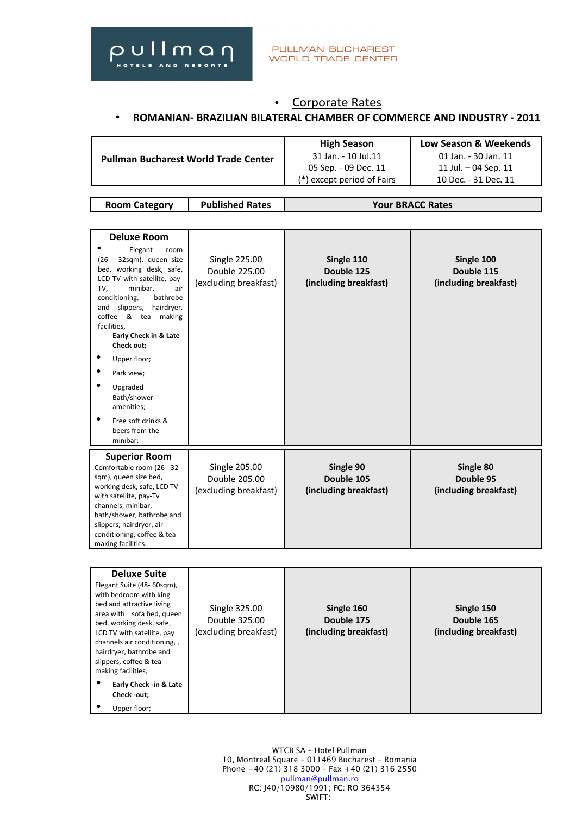

# • Corporate Rates • **ROMANIAN- BRAZILIAN BILATERAL CHAMBER OF COMMERCE AND INDUSTRY - 2011**

| <b>Pullman Bucharest World Trade Center</b> | <b>High Season</b>         | Low Season & Weekends |
|---------------------------------------------|----------------------------|-----------------------|
|                                             | 31 Jan. - 10 Jul.11        | 01 Jan. - 30 Jan. 11  |
|                                             | 05 Sep. - 09 Dec. 11       | 11 Jul. – 04 Sep. 11  |
|                                             | (*) except period of Fairs | 10 Dec. - 31 Dec. 11  |

| <b>Room Category</b> | <b>Published Rates</b> | <b>Your BRACC Rates</b> |
|----------------------|------------------------|-------------------------|
|                      |                        |                         |

| <b>Deluxe Room</b><br>Elegant<br>room<br>$(26 - 32sgm)$ , queen size<br>bed, working desk, safe,<br>LCD TV with satellite, pay-<br>minibar,<br>TV,<br>air<br>conditioning,<br>bathrobe<br>slippers,<br>hairdryer,<br>and<br>coffee & tea making<br>facilities.<br>Early Check in & Late<br>Check out;<br>Upper floor;<br>Park view;<br>Upgraded<br>Bath/shower<br>amenities;<br>Free soft drinks &<br>beers from the<br>minibar; | Single 225.00<br>Double 225.00<br>(excluding breakfast)        | Single 110<br>Double 125<br>(including breakfast) | Single 100<br>Double 115<br>(including breakfast) |
|----------------------------------------------------------------------------------------------------------------------------------------------------------------------------------------------------------------------------------------------------------------------------------------------------------------------------------------------------------------------------------------------------------------------------------|----------------------------------------------------------------|---------------------------------------------------|---------------------------------------------------|
| <b>Superior Room</b><br>Comfortable room (26 - 32<br>sqm), queen size bed,<br>working desk, safe, LCD TV<br>with satellite, pay-Tv<br>channels, minibar,<br>bath/shower, bathrobe and<br>slippers, hairdryer, air<br>conditioning, coffee & tea<br>making facilities.                                                                                                                                                            | <b>Single 205.00</b><br>Double 205.00<br>(excluding breakfast) | Single 90<br>Double 105<br>(including breakfast)  | Single 80<br>Double 95<br>(including breakfast)   |

| <b>Deluxe Suite</b><br>Elegant Suite (48-60sqm),<br>with bedroom with king<br>bed and attractive living<br>area with sofa bed, queen<br>bed, working desk, safe,<br>LCD TV with satellite, pay<br>channels air conditioning,,<br>hairdryer, bathrobe and<br>slippers, coffee & tea<br>making facilities, | Single 325.00<br>Double 325.00<br>(excluding breakfast) | Single 160<br>Double 175<br>(including breakfast) | Single 150<br>Double 165<br>(including breakfast) |
|----------------------------------------------------------------------------------------------------------------------------------------------------------------------------------------------------------------------------------------------------------------------------------------------------------|---------------------------------------------------------|---------------------------------------------------|---------------------------------------------------|
| Early Check -in & Late<br>Check -out:<br>Upper floor;                                                                                                                                                                                                                                                    |                                                         |                                                   |                                                   |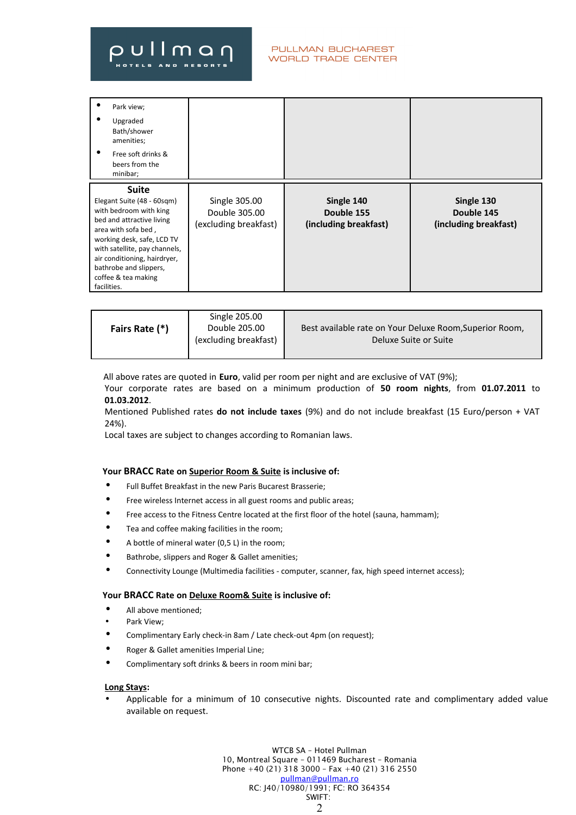| ٠           | Park view;<br>Upgraded<br>Bath/shower<br>amenities;<br>Free soft drinks &<br>beers from the<br>minibar;                                                                                                                                                                  |                                                         |                                                   |                                                   |
|-------------|--------------------------------------------------------------------------------------------------------------------------------------------------------------------------------------------------------------------------------------------------------------------------|---------------------------------------------------------|---------------------------------------------------|---------------------------------------------------|
| facilities. | <b>Suite</b><br>Elegant Suite (48 - 60sqm)<br>with bedroom with king<br>bed and attractive living<br>area with sofa bed,<br>working desk, safe, LCD TV<br>with satellite, pay channels,<br>air conditioning, hairdryer,<br>bathrobe and slippers,<br>coffee & tea making | Single 305.00<br>Double 305.00<br>(excluding breakfast) | Single 140<br>Double 155<br>(including breakfast) | Single 130<br>Double 145<br>(including breakfast) |

| Fairs Rate (*) | Single 205.00<br>Double 205.00<br>(excluding breakfast) | Best available rate on Your Deluxe Room, Superior Room,<br>Deluxe Suite or Suite |
|----------------|---------------------------------------------------------|----------------------------------------------------------------------------------|
|                |                                                         |                                                                                  |

All above rates are quoted in **Euro**, valid per room per night and are exclusive of VAT (9%);

Your corporate rates are based on a minimum production of **50 room nights**, from **01.07.2011** to **01.03.2012**.

Mentioned Published rates **do not include taxes** (9%) and do not include breakfast (15 Euro/person + VAT 24%).

Local taxes are subject to changes according to Romanian laws.

## **Your BRACC Rate on Superior Room & Suite is inclusive of:**

- Full Buffet Breakfast in the new Paris Bucarest Brasserie;
- Free wireless Internet access in all guest rooms and public areas;
- Free access to the Fitness Centre located at the first floor of the hotel (sauna, hammam);
- Tea and coffee making facilities in the room;
- A bottle of mineral water (0,5 L) in the room;
- Bathrobe, slippers and Roger & Gallet amenities;
- Connectivity Lounge (Multimedia facilities computer, scanner, fax, high speed internet access);

### **Your BRACC Rate on Deluxe Room& Suite is inclusive of:**

- All above mentioned;
- Park View:
- Complimentary Early check-in 8am / Late check-out 4pm (on request);
- Roger & Gallet amenities Imperial Line;
- Complimentary soft drinks & beers in room mini bar;

#### **Long Stays:**

• Applicable for a minimum of 10 consecutive nights. Discounted rate and complimentary added value available on request.

> WTCB SA – Hotel Pullman 10, Montreal Square – 011469 Bucharest – Romania Phone +40 (21) 318 3000 – Fax +40 (21) 316 2550 [pullman@pullman.ro](mailto:pullman@pullman.ro) RC: J40/10980/1991; FC: RO 364354 SWIFT:  $\mathfrak{D}$